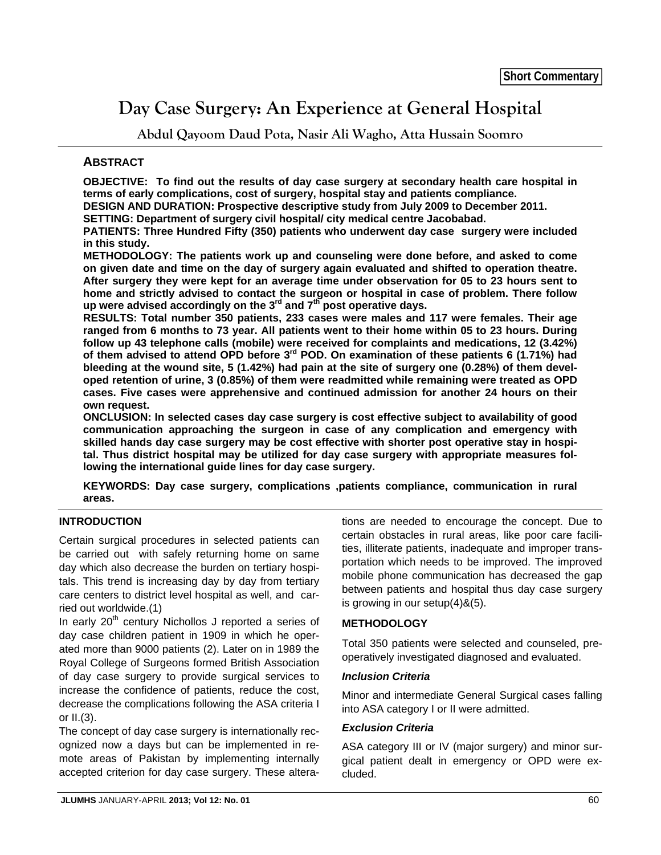# **Day Case Surgery: An Experience at General Hospital**

**Abdul Qayoom Daud Pota, Nasir Ali Wagho, Atta Hussain Soomro** 

## **ABSTRACT**

**OBJECTIVE: To find out the results of day case surgery at secondary health care hospital in terms of early complications, cost of surgery, hospital stay and patients compliance.** 

**DESIGN AND DURATION: Prospective descriptive study from July 2009 to December 2011.** 

**SETTING: Department of surgery civil hospital/ city medical centre Jacobabad.** 

**PATIENTS: Three Hundred Fifty (350) patients who underwent day case surgery were included in this study.** 

**METHODOLOGY: The patients work up and counseling were done before, and asked to come on given date and time on the day of surgery again evaluated and shifted to operation theatre. After surgery they were kept for an average time under observation for 05 to 23 hours sent to home and strictly advised to contact the surgeon or hospital in case of problem. There follow up were advised accordingly on the 3rd and 7th post operative days.** 

**RESULTS: Total number 350 patients, 233 cases were males and 117 were females. Their age ranged from 6 months to 73 year. All patients went to their home within 05 to 23 hours. During follow up 43 telephone calls (mobile) were received for complaints and medications, 12 (3.42%) of them advised to attend OPD before 3rd POD. On examination of these patients 6 (1.71%) had bleeding at the wound site, 5 (1.42%) had pain at the site of surgery one (0.28%) of them developed retention of urine, 3 (0.85%) of them were readmitted while remaining were treated as OPD cases. Five cases were apprehensive and continued admission for another 24 hours on their own request.** 

**ONCLUSION: In selected cases day case surgery is cost effective subject to availability of good communication approaching the surgeon in case of any complication and emergency with skilled hands day case surgery may be cost effective with shorter post operative stay in hospital. Thus district hospital may be utilized for day case surgery with appropriate measures following the international guide lines for day case surgery.** 

**KEYWORDS: Day case surgery, complications ,patients compliance, communication in rural areas.**

## **INTRODUCTION**

Certain surgical procedures in selected patients can be carried out with safely returning home on same day which also decrease the burden on tertiary hospitals. This trend is increasing day by day from tertiary care centers to district level hospital as well, and carried out worldwide.(1)

In early  $20<sup>th</sup>$  century Nichollos J reported a series of day case children patient in 1909 in which he operated more than 9000 patients (2). Later on in 1989 the Royal College of Surgeons formed British Association of day case surgery to provide surgical services to increase the confidence of patients, reduce the cost, decrease the complications following the ASA criteria I or II.(3).

The concept of day case surgery is internationally recognized now a days but can be implemented in remote areas of Pakistan by implementing internally accepted criterion for day case surgery. These alterations are needed to encourage the concept. Due to certain obstacles in rural areas, like poor care facilities, illiterate patients, inadequate and improper transportation which needs to be improved. The improved mobile phone communication has decreased the gap between patients and hospital thus day case surgery is growing in our setup(4)&(5).

## **METHODOLOGY**

Total 350 patients were selected and counseled, preoperatively investigated diagnosed and evaluated.

## *Inclusion Criteria*

Minor and intermediate General Surgical cases falling into ASA category I or II were admitted.

## *Exclusion Criteria*

ASA category III or IV (major surgery) and minor surgical patient dealt in emergency or OPD were excluded.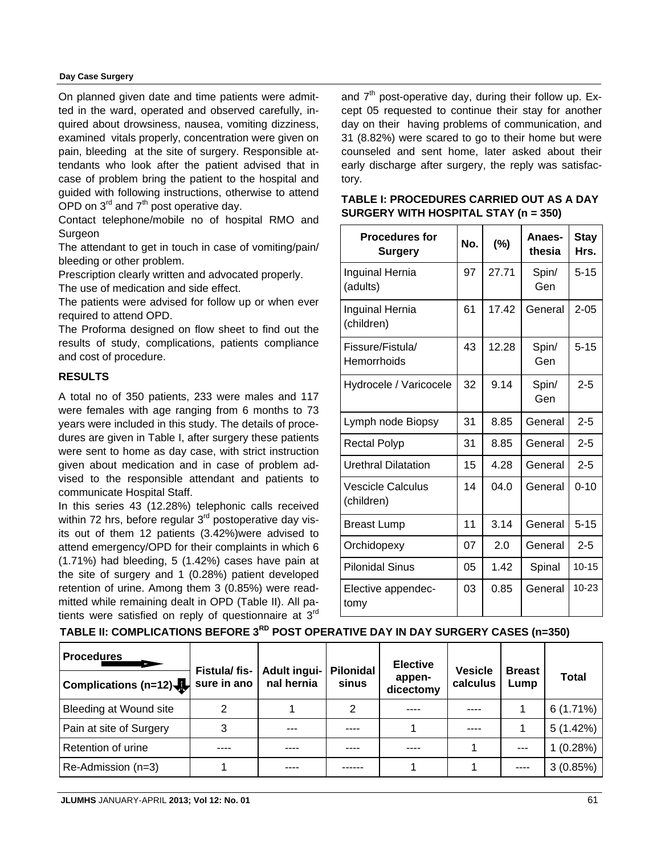#### **Day Case Surgery**

On planned given date and time patients were admitted in the ward, operated and observed carefully, inquired about drowsiness, nausea, vomiting dizziness, examined vitals properly, concentration were given on pain, bleeding at the site of surgery. Responsible attendants who look after the patient advised that in case of problem bring the patient to the hospital and guided with following instructions, otherwise to attend OPD on  $3^{rd}$  and  $7^{th}$  post operative day.

Contact telephone/mobile no of hospital RMO and Surgeon

The attendant to get in touch in case of vomiting/pain/ bleeding or other problem.

Prescription clearly written and advocated properly.

The use of medication and side effect.

The patients were advised for follow up or when ever required to attend OPD.

The Proforma designed on flow sheet to find out the results of study, complications, patients compliance and cost of procedure.

## **RESULTS**

A total no of 350 patients, 233 were males and 117 were females with age ranging from 6 months to 73 years were included in this study. The details of procedures are given in Table I, after surgery these patients were sent to home as day case, with strict instruction given about medication and in case of problem advised to the responsible attendant and patients to communicate Hospital Staff.

In this series 43 (12.28%) telephonic calls received within 72 hrs, before regular  $3<sup>rd</sup>$  postoperative day visits out of them 12 patients (3.42%)were advised to attend emergency/OPD for their complaints in which 6 (1.71%) had bleeding, 5 (1.42%) cases have pain at the site of surgery and 1 (0.28%) patient developed retention of urine. Among them 3 (0.85%) were readmitted while remaining dealt in OPD (Table II). All patients were satisfied on reply of questionnaire at  $3<sup>rd</sup>$  and  $7<sup>th</sup>$  post-operative day, during their follow up. Except 05 requested to continue their stay for another day on their having problems of communication, and 31 (8.82%) were scared to go to their home but were counseled and sent home, later asked about their early discharge after surgery, the reply was satisfactory.

| <b>Procedures for</b><br>Surgery       | No. | $(\%)$ | Anaes-<br>thesia | <b>Stay</b><br>Hrs. |
|----------------------------------------|-----|--------|------------------|---------------------|
| Inguinal Hernia<br>(adults)            | 97  | 27.71  | Spin/<br>Gen     | $5 - 15$            |
| Inguinal Hernia<br>(children)          | 61  | 17.42  | General          | $2 - 05$            |
| Fissure/Fistula/<br>Hemorrhoids        | 43  | 12.28  | Spin/<br>Gen     | $5 - 15$            |
| Hydrocele / Varicocele                 | 32  | 9.14   | Spin/<br>Gen     | $2 - 5$             |
| Lymph node Biopsy                      | 31  | 8.85   | General          | $2 - 5$             |
| <b>Rectal Polyp</b>                    | 31  | 8.85   | General          | $2 - 5$             |
| <b>Urethral Dilatation</b>             | 15  | 4.28   | General          | $2 - 5$             |
| <b>Vescicle Calculus</b><br>(children) | 14  | 04.0   | General          | $0 - 10$            |
| <b>Breast Lump</b>                     | 11  | 3.14   | General          | $5 - 15$            |
| Orchidopexy                            | 07  | 2.0    | General          | $2 - 5$             |
| <b>Pilonidal Sinus</b>                 | 05  | 1.42   | Spinal           | $10 - 15$           |
| Elective appendec-<br>tomy             | 03  | 0.85   | General          | 10-23               |

| <b>TABLE I: PROCEDURES CARRIED OUT AS A DAY</b> |
|-------------------------------------------------|
| SURGERY WITH HOSPITAL STAY $(n = 350)$          |

**TABLE II: COMPLICATIONS BEFORE 3RD POST OPERATIVE DAY IN DAY SURGERY CASES (n=350)**

| <b>Procedures</b>       | Fistula/fis-<br>sure in ano | Adult ingui- Pilonidal<br>nal hernia | sinus | <b>Elective</b><br>appen-<br>dicectomy | <b>Vesicle</b><br>calculus | <b>Breast</b><br>Lump | Total    |
|-------------------------|-----------------------------|--------------------------------------|-------|----------------------------------------|----------------------------|-----------------------|----------|
| Bleeding at Wound site  | 2                           |                                      | 2     |                                        |                            |                       | 6(1.71%) |
| Pain at site of Surgery | 3                           | ---                                  | ----  |                                        |                            |                       | 5(1.42%) |
| Retention of urine      |                             |                                      |       |                                        |                            | $- - -$               | 1(0.28%) |
| Re-Admission (n=3)      |                             | ----                                 |       |                                        |                            | $---$                 | 3(0.85%) |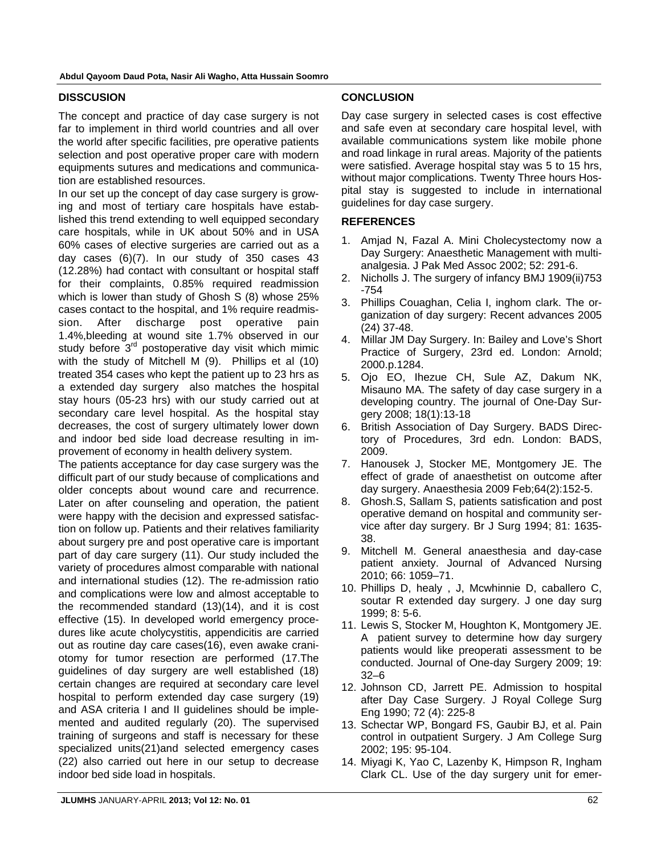#### **DISSCUSION**

The concept and practice of day case surgery is not far to implement in third world countries and all over the world after specific facilities, pre operative patients selection and post operative proper care with modern equipments sutures and medications and communication are established resources.

In our set up the concept of day case surgery is growing and most of tertiary care hospitals have established this trend extending to well equipped secondary care hospitals, while in UK about 50% and in USA 60% cases of elective surgeries are carried out as a day cases (6)(7). In our study of 350 cases 43 (12.28%) had contact with consultant or hospital staff for their complaints, 0.85% required readmission which is lower than study of Ghosh S (8) whose 25% cases contact to the hospital, and 1% require readmission. After discharge post operative pain 1.4%,bleeding at wound site 1.7% observed in our study before  $3<sup>rd</sup>$  postoperative day visit which mimic with the study of Mitchell M (9). Phillips et al (10) treated 354 cases who kept the patient up to 23 hrs as a extended day surgery also matches the hospital stay hours (05-23 hrs) with our study carried out at secondary care level hospital. As the hospital stay decreases, the cost of surgery ultimately lower down and indoor bed side load decrease resulting in improvement of economy in health delivery system.

The patients acceptance for day case surgery was the difficult part of our study because of complications and older concepts about wound care and recurrence. Later on after counseling and operation, the patient were happy with the decision and expressed satisfaction on follow up. Patients and their relatives familiarity about surgery pre and post operative care is important part of day care surgery (11). Our study included the variety of procedures almost comparable with national and international studies (12). The re-admission ratio and complications were low and almost acceptable to the recommended standard (13)(14), and it is cost effective (15). In developed world emergency procedures like acute cholycystitis, appendicitis are carried out as routine day care cases(16), even awake craniotomy for tumor resection are performed (17.The guidelines of day surgery are well established (18) certain changes are required at secondary care level hospital to perform extended day case surgery (19) and ASA criteria I and II guidelines should be implemented and audited regularly (20). The supervised training of surgeons and staff is necessary for these specialized units(21)and selected emergency cases (22) also carried out here in our setup to decrease indoor bed side load in hospitals.

## **CONCLUSION**

Day case surgery in selected cases is cost effective and safe even at secondary care hospital level, with available communications system like mobile phone and road linkage in rural areas. Majority of the patients were satisfied. Average hospital stay was 5 to 15 hrs, without major complications. Twenty Three hours Hospital stay is suggested to include in international guidelines for day case surgery.

## **REFERENCES**

- 1. Amjad N, Fazal A. Mini Cholecystectomy now a Day Surgery: Anaesthetic Management with multianalgesia. J Pak Med Assoc 2002; 52: 291-6.
- 2. Nicholls J. The surgery of infancy BMJ 1909(ii)753 -754
- 3. Phillips Couaghan, Celia I, inghom clark. The organization of day surgery: Recent advances 2005 (24) 37-48.
- 4. Millar JM Day Surgery. In: Bailey and Love's Short Practice of Surgery, 23rd ed. London: Arnold; 2000.p.1284.
- 5. Ojo EO, Ihezue CH, Sule AZ, Dakum NK, Misauno MA. The safety of day case surgery in a developing country. The journal of One-Day Surgery 2008; 18(1):13-18
- 6. British Association of Day Surgery. BADS Directory of Procedures, 3rd edn. London: BADS, 2009.
- 7. Hanousek J, Stocker ME, Montgomery JE. The effect of grade of anaesthetist on outcome after day surgery. Anaesthesia 2009 Feb;64(2):152-5.
- 8. Ghosh.S, Sallam S, patients satisfication and post operative demand on hospital and community service after day surgery. Br J Surg 1994; 81: 1635- 38.
- 9. Mitchell M. General anaesthesia and day-case patient anxiety. Journal of Advanced Nursing 2010; 66: 1059–71.
- 10. Phillips D, healy , J, Mcwhinnie D, caballero C, soutar R extended day surgery. J one day surg 1999; 8: 5-6.
- 11. Lewis S, Stocker M, Houghton K, Montgomery JE. A patient survey to determine how day surgery patients would like preoperati assessment to be conducted. Journal of One-day Surgery 2009; 19: 32–6
- 12. Johnson CD, Jarrett PE. Admission to hospital after Day Case Surgery. J Royal College Surg Eng 1990; 72 (4): 225-8
- 13. Schectar WP, Bongard FS, Gaubir BJ, et al. Pain control in outpatient Surgery. J Am College Surg 2002; 195: 95-104.
- 14. Miyagi K, Yao C, Lazenby K, Himpson R, Ingham Clark CL. Use of the day surgery unit for emer-